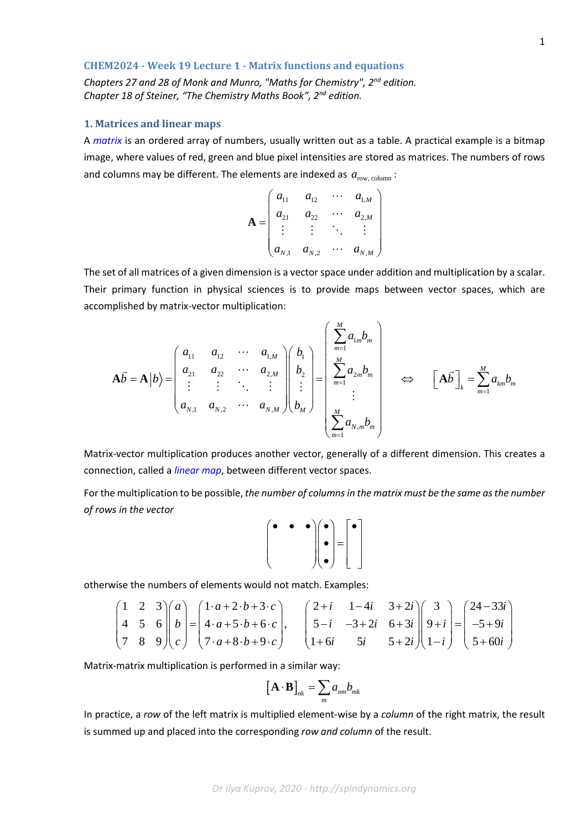### **CHEM2024 - Week 19 Lecture 1 - Matrix functions and equations**

*Chapters 27 and 28 of Monk and Munro, "Maths for Chemistry", 2nd edition. Chapter 18 of Steiner, "The Chemistry Maths Book", 2nd edition.*

## **1. Matrices and linear maps**

A *matrix* is an ordered array of numbers, usually written out as a table. A practical example is a bitmap image, where values of red, green and blue pixel intensities are stored as matrices. The numbers of rows and columns may be different. The elements are indexed as  $a_{\text{row, column}}$ :

$$
\mathbf{A} = \begin{pmatrix} a_{11} & a_{12} & \cdots & a_{1,M} \\ a_{21} & a_{22} & \cdots & a_{2,M} \\ \vdots & \vdots & \ddots & \vdots \\ a_{N,1} & a_{N,2} & \cdots & a_{N,M} \end{pmatrix}
$$

The set of all matrices of a given dimension is a vector space under addition and multiplication by a scalar. Their primary function in physical sciences is to provide maps between vector spaces, which are accomplished by matrix-vector multiplication:

$$
\mathbf{A}\vec{b} = \mathbf{A}|b\rangle = \begin{pmatrix} a_{11} & a_{12} & \cdots & a_{1,M} \\ a_{21} & a_{22} & \cdots & a_{2,M} \\ \vdots & \vdots & \ddots & \vdots \\ a_{N,1} & a_{N,2} & \cdots & a_{N,M} \end{pmatrix} \begin{pmatrix} b_1 \\ b_2 \\ \vdots \\ b_M \end{pmatrix} = \begin{pmatrix} \sum_{m=1}^{M} a_{1m}b_m \\ \sum_{m=1}^{M} a_{2m}b_m \\ \vdots \\ \sum_{m=1}^{M} a_{N,m}b_m \end{pmatrix} \Leftrightarrow \begin{bmatrix} \mathbf{A}\vec{b} \end{bmatrix}_k = \sum_{m=1}^{M} a_{km}b_m
$$

Matrix-vector multiplication produces another vector, generally of a different dimension. This creates a connection, called a *linear map*, between different vector spaces.

For the multiplication to be possible, *the number of columns in the matrix must be the same as the number of rows in the vector*

$$
\begin{pmatrix} \bullet & \bullet & \bullet \\ & & \bullet \\ & & & \end{pmatrix} \begin{pmatrix} \bullet \\ \bullet \\ \bullet \end{pmatrix} = \begin{pmatrix} \bullet \\ \\ \bullet \end{pmatrix}
$$

otherwise the numbers of elements would not match. Examples:

$$
\begin{pmatrix} 1 & 2 & 3 \ 4 & 5 & 6 \ 7 & 8 & 9 \ \end{pmatrix} \begin{pmatrix} a \ b \ c \end{pmatrix} = \begin{pmatrix} 1 \cdot a + 2 \cdot b + 3 \cdot c \\ 4 \cdot a + 5 \cdot b + 6 \cdot c \\ 7 \cdot a + 8 \cdot b + 9 \cdot c \end{pmatrix}, \quad \begin{pmatrix} 2 + i & 1 - 4i & 3 + 2i \\ 5 - i & -3 + 2i & 6 + 3i \\ 1 + 6i & 5i & 5 + 2i \end{pmatrix} \begin{pmatrix} 3 \\ 9 + i \\ 1 - i \end{pmatrix} = \begin{pmatrix} 24 - 33i \\ -5 + 9i \\ 5 + 60i \end{pmatrix}
$$

Matrix-matrix multiplication is performed in a similar way:

$$
\left[\mathbf{A}\cdot\mathbf{B}\right]_{nk}=\sum_{m}a_{nm}b_{mk}
$$

In practice, a *row* of the left matrix is multiplied element-wise by a *column* of the right matrix, the result is summed up and placed into the corresponding *row and column* of the result.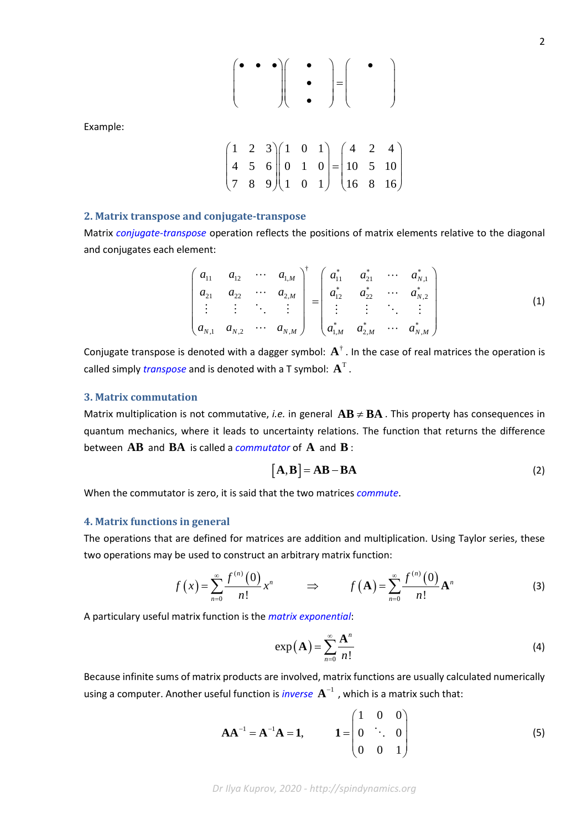$$
\begin{pmatrix} \bullet & \bullet & \bullet \\ & & \bullet \\ & & & \end{pmatrix} \begin{pmatrix} \bullet & \bullet & \\ \bullet & & \bullet \\ & & & \end{pmatrix} = \begin{pmatrix} \bullet & \bullet & \\ & & \bullet \\ & & & \end{pmatrix}
$$

Example:

$$
\begin{pmatrix} 1 & 2 & 3 \ 4 & 5 & 6 \ 7 & 8 & 9 \end{pmatrix} \begin{pmatrix} 1 & 0 & 1 \ 0 & 1 & 0 \ 1 & 0 & 1 \end{pmatrix} = \begin{pmatrix} 4 & 2 & 4 \ 10 & 5 & 10 \ 16 & 8 & 16 \end{pmatrix}
$$

# **2. Matrix transpose and conjugate-transpose**

Matrix *conjugate-transpose* operation reflects the positions of matrix elements relative to the diagonal and conjugates each element:

$$
\begin{pmatrix} a_{11} & a_{12} & \cdots & a_{1,M} \\ a_{21} & a_{22} & \cdots & a_{2,M} \\ \vdots & \vdots & \ddots & \vdots \\ a_{N,1} & a_{N,2} & \cdots & a_{N,M} \end{pmatrix}^{\dagger} = \begin{pmatrix} a_{11}^{*} & a_{21}^{*} & \cdots & a_{N,1}^{*} \\ a_{12}^{*} & a_{22}^{*} & \cdots & a_{N,2}^{*} \\ \vdots & \vdots & \ddots & \vdots \\ a_{1,M}^{*} & a_{2,M}^{*} & \cdots & a_{N,M}^{*} \end{pmatrix}
$$
 (1)

Conjugate transpose is denoted with a dagger symbol:  $A^{\dagger}$ . In the case of real matrices the operation is called simply *transpose* and is denoted with a T symbol:  $A<sup>T</sup>$ .

#### **3. Matrix commutation**

Matrix multiplication is not commutative, *i.e.* in general  $AB \neq BA$  . This property has consequences in quantum mechanics, where it leads to uncertainty relations. The function that returns the difference between **AB** and **BA** is called a *commutator* of **A** and **B** :

$$
[A, B] = AB - BA
$$
 (2)

When the commutator is zero, it is said that the two matrices *commute*.

#### **4. Matrix functions in general**

The operations that are defined for matrices are addition and multiplication. Using Taylor series, these two operations may be used to construct an arbitrary matrix function:

$$
f(x) = \sum_{n=0}^{\infty} \frac{f^{(n)}(0)}{n!} x^n \qquad \Rightarrow \qquad f(\mathbf{A}) = \sum_{n=0}^{\infty} \frac{f^{(n)}(0)}{n!} \mathbf{A}^n \tag{3}
$$

A particulary useful matrix function is the *matrix exponential*:

$$
\exp\left(\mathbf{A}\right) = \sum_{n=0}^{\infty} \frac{\mathbf{A}^n}{n!} \tag{4}
$$

Because infinite sums of matrix products are involved, matrix functions are usually calculated numerically using a computer. Another useful function is *inverse*  $A^{-1}$  , which is a matrix such that:

$$
\mathbf{A}\mathbf{A}^{-1} = \mathbf{A}^{-1}\mathbf{A} = \mathbf{1}, \qquad \mathbf{1} = \begin{pmatrix} 1 & 0 & 0 \\ 0 & \ddots & 0 \\ 0 & 0 & 1 \end{pmatrix}
$$
 (5)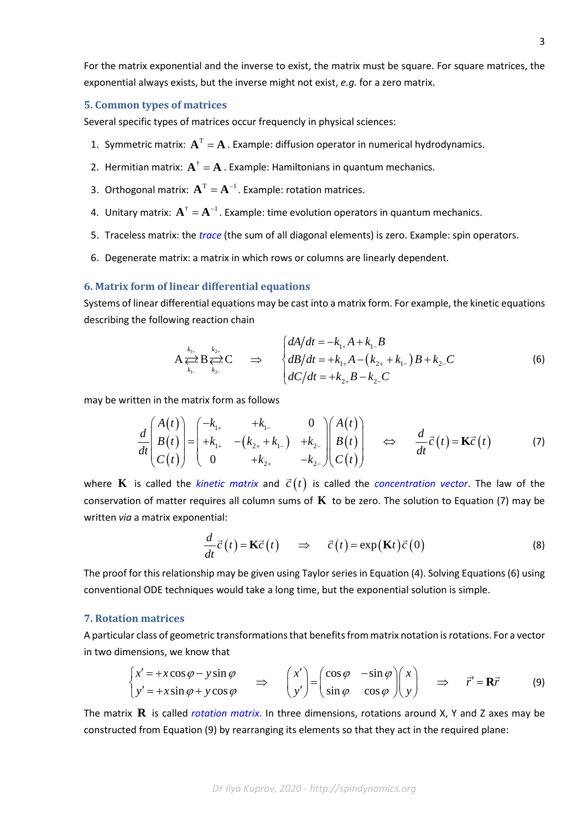For the matrix exponential and the inverse to exist, the matrix must be square. For square matrices, the exponential always exists, but the inverse might not exist, *e.g.* for a zero matrix.

### **5. Common types of matrices**

Several specific types of matrices occur frequencly in physical sciences:

- 1. Symmetric matrix:  $A<sup>T</sup> = A$ . Example: diffusion operator in numerical hydrodynamics.
- 2. Hermitian matrix:  $A^{\dagger} = A$ . Example: Hamiltonians in quantum mechanics.
- 3. Orthogonal matrix:  $A<sup>T</sup> = A<sup>-1</sup>$ . Example: rotation matrices.
- 4. Unitary matrix:  $\mathbf{A}^{\dagger} = \mathbf{A}^{-1}$ . Example: time evolution operators in quantum mechanics.
- 5. Traceless matrix: the *trace* (the sum of all diagonal elements) is zero. Example: spin operators.
- 6. Degenerate matrix: a matrix in which rows or columns are linearly dependent.

#### **6. Matrix form of linear differential equations**

Systems of linear differential equations may be cast into a matrix form. For example, the kinetic equations describing the following reaction chain

$$
A \sum_{k_{1-}}^{k_{1+}} B \sum_{k_{2-}}^{k_{2+}} C \Rightarrow \begin{cases} dA/dt = -k_{1+}A + k_{1-}B \\ dB/dt = +k_{1+}A - (k_{2+} + k_{1-})B + k_{2-}C \\ dC/dt = +k_{2+}B - k_{2-}C \end{cases}
$$
(6)

may be written in the matrix form as follows

$$
\frac{d}{dt} \begin{pmatrix} A(t) \\ B(t) \\ C(t) \end{pmatrix} = \begin{pmatrix} -k_{1+} & +k_{1-} & 0 \\ +k_{1+} & -(k_{2+}+k_{1-}) & +k_{2-} \\ 0 & +k_{2+} & -k_{2-} \end{pmatrix} \begin{pmatrix} A(t) \\ B(t) \\ C(t) \end{pmatrix} \quad \Leftrightarrow \quad \frac{d}{dt} \vec{c}(t) = \mathbf{K}\vec{c}(t) \tag{7}
$$

where **K** is called the *kinetic matrix* and  $\vec{c}(t)$  is called the *concentration vector*. The law of the conservation of matter requires all column sums of **K** to be zero. The solution to Equation (7) may be written *via* a matrix exponential:

$$
\frac{d}{dt}\vec{c}(t) = \mathbf{K}\vec{c}(t) \Rightarrow \vec{c}(t) = \exp(\mathbf{K}t)\vec{c}(0)
$$
\n(8)

The proof for this relationship may be given using Taylor series in Equation (4). Solving Equations (6) using conventional ODE techniques would take a long time, but the exponential solution is simple.

## **7. Rotation matrices**

A particular class of geometric transformations that benefits from matrix notation is rotations. For a vector in two dimensions, we know that

$$
\begin{cases}\nx' = +x\cos\varphi - y\sin\varphi \\
y' = +x\sin\varphi + y\cos\varphi\n\end{cases} \Rightarrow \begin{pmatrix}\nx' \\
y'\n\end{pmatrix} = \begin{pmatrix}\n\cos\varphi & -\sin\varphi \\
\sin\varphi & \cos\varphi\n\end{pmatrix} \begin{pmatrix}\nx \\
y\n\end{pmatrix} \Rightarrow \vec{r}' = \mathbf{R}\vec{r}
$$
 (9)

The matrix **R** is called *rotation matrix*. In three dimensions, rotations around X, Y and Z axes may be constructed from Equation (9) by rearranging its elements so that they act in the required plane: